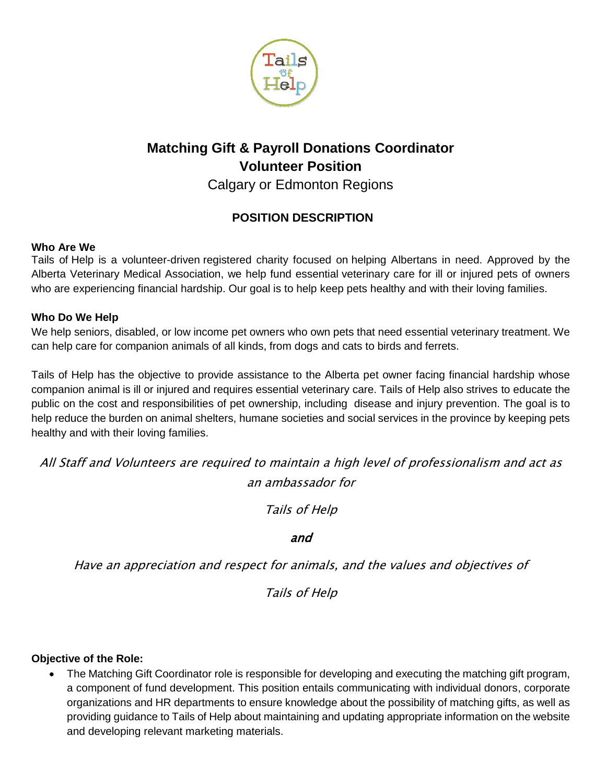

# **Matching Gift & Payroll Donations Coordinator Volunteer Position**

Calgary or Edmonton Regions

# **POSITION DESCRIPTION**

# **Who Are We**

Tails of Help is a volunteer-driven registered charity focused on helping Albertans in need. Approved by the Alberta Veterinary Medical Association, we help fund essential veterinary care for ill or injured pets of owners who are experiencing financial hardship. Our goal is to help keep pets healthy and with their loving families.

# **Who Do We Help**

We help seniors, disabled, or low income pet owners who own pets that need essential veterinary treatment. We can help care for companion animals of all kinds, from dogs and cats to birds and ferrets.

Tails of Help has the objective to provide assistance to the Alberta pet owner facing financial hardship whose companion animal is ill or injured and requires essential veterinary care. Tails of Help also strives to educate the public on the cost and responsibilities of pet ownership, including disease and injury prevention. The goal is to help reduce the burden on animal shelters, humane societies and social services in the province by keeping pets healthy and with their loving families.

All Staff and Volunteers are required to maintain a high level of professionalism and act as an ambassador for

Tails of Help

# and

Have an appreciation and respect for animals, and the values and objectives of

Tails of Help

### **Objective of the Role:**

 The Matching Gift Coordinator role is responsible for developing and executing the matching gift program, a component of fund development. This position entails communicating with individual donors, corporate organizations and HR departments to ensure knowledge about the possibility of matching gifts, as well as providing guidance to Tails of Help about maintaining and updating appropriate information on the website and developing relevant marketing materials.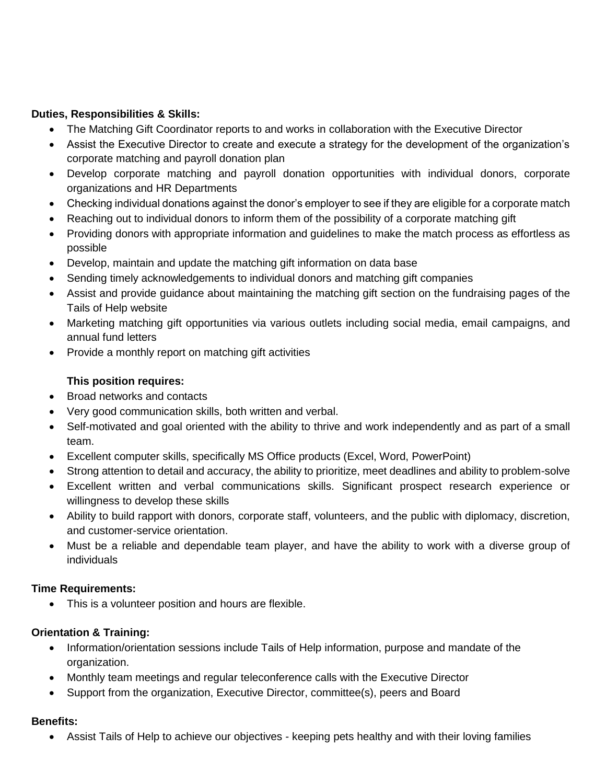#### **Duties, Responsibilities & Skills:**

- The Matching Gift Coordinator reports to and works in collaboration with the Executive Director
- Assist the Executive Director to create and execute a strategy for the development of the organization's corporate matching and payroll donation plan
- Develop corporate matching and payroll donation opportunities with individual donors, corporate organizations and HR Departments
- Checking individual donations against the donor's employer to see if they are eligible for a corporate match
- Reaching out to individual donors to inform them of the possibility of a corporate matching gift
- Providing donors with appropriate information and guidelines to make the match process as effortless as possible
- Develop, maintain and update the matching gift information on data base
- Sending timely acknowledgements to individual donors and matching gift companies
- Assist and provide guidance about maintaining the matching gift section on the fundraising pages of the Tails of Help website
- Marketing matching gift opportunities via various outlets including social media, email campaigns, and annual fund letters
- Provide a monthly report on matching gift activities

#### **This position requires:**

- Broad networks and contacts
- Very good communication skills, both written and verbal.
- Self-motivated and goal oriented with the ability to thrive and work independently and as part of a small team.
- Excellent computer skills, specifically MS Office products (Excel, Word, PowerPoint)
- Strong attention to detail and accuracy, the ability to prioritize, meet deadlines and ability to problem-solve
- Excellent written and verbal communications skills. Significant prospect research experience or willingness to develop these skills
- Ability to build rapport with donors, corporate staff, volunteers, and the public with diplomacy, discretion, and customer-service orientation.
- Must be a reliable and dependable team player, and have the ability to work with a diverse group of individuals

#### **Time Requirements:**

This is a volunteer position and hours are flexible.

#### **Orientation & Training:**

- Information/orientation sessions include Tails of Help information, purpose and mandate of the organization.
- Monthly team meetings and regular teleconference calls with the Executive Director
- Support from the organization, Executive Director, committee(s), peers and Board

#### **Benefits:**

Assist Tails of Help to achieve our objectives - keeping pets healthy and with their loving families